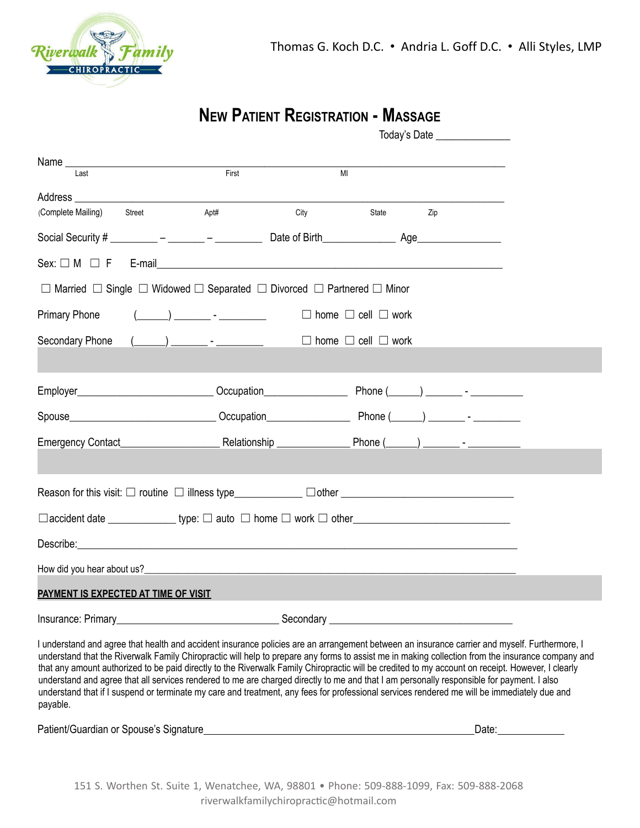

payable.

# **NEW PATIENT REGISTRATION - MASSAGE**

|                                                                                                                                                                                                                                                                                                                                                                                                                                                                                                                                                                                                                                                                                                                                                     |                                                                               |                |                                     | Today's Date _______________                      |  |
|-----------------------------------------------------------------------------------------------------------------------------------------------------------------------------------------------------------------------------------------------------------------------------------------------------------------------------------------------------------------------------------------------------------------------------------------------------------------------------------------------------------------------------------------------------------------------------------------------------------------------------------------------------------------------------------------------------------------------------------------------------|-------------------------------------------------------------------------------|----------------|-------------------------------------|---------------------------------------------------|--|
|                                                                                                                                                                                                                                                                                                                                                                                                                                                                                                                                                                                                                                                                                                                                                     |                                                                               |                |                                     |                                                   |  |
| Last                                                                                                                                                                                                                                                                                                                                                                                                                                                                                                                                                                                                                                                                                                                                                | First                                                                         | M <sub>l</sub> |                                     |                                                   |  |
|                                                                                                                                                                                                                                                                                                                                                                                                                                                                                                                                                                                                                                                                                                                                                     |                                                                               |                |                                     |                                                   |  |
| (Complete Mailing)<br>Street                                                                                                                                                                                                                                                                                                                                                                                                                                                                                                                                                                                                                                                                                                                        | Apt#                                                                          | <b>City</b>    | State                               | <b>Example 2</b> Zip                              |  |
|                                                                                                                                                                                                                                                                                                                                                                                                                                                                                                                                                                                                                                                                                                                                                     |                                                                               |                |                                     |                                                   |  |
|                                                                                                                                                                                                                                                                                                                                                                                                                                                                                                                                                                                                                                                                                                                                                     |                                                                               |                |                                     |                                                   |  |
| $\Box$ Married $\Box$ Single $\Box$ Widowed $\Box$ Separated $\Box$ Divorced $\Box$ Partnered $\Box$ Minor                                                                                                                                                                                                                                                                                                                                                                                                                                                                                                                                                                                                                                          |                                                                               |                |                                     |                                                   |  |
| <b>Primary Phone</b>                                                                                                                                                                                                                                                                                                                                                                                                                                                                                                                                                                                                                                                                                                                                | $(\_\_\_\_) \_\_\_\_$ - $\_\_\_\_\_$                                          |                | $\Box$ home $\Box$ cell $\Box$ work |                                                   |  |
| Secondary Phone                                                                                                                                                                                                                                                                                                                                                                                                                                                                                                                                                                                                                                                                                                                                     | $(\_\_\_\_\_\_\$ - ___________ $\_\_\_\_\_\_\$ home $\_\_$ cell $\_\_\_$ work |                |                                     |                                                   |  |
|                                                                                                                                                                                                                                                                                                                                                                                                                                                                                                                                                                                                                                                                                                                                                     |                                                                               |                |                                     |                                                   |  |
|                                                                                                                                                                                                                                                                                                                                                                                                                                                                                                                                                                                                                                                                                                                                                     |                                                                               |                |                                     |                                                   |  |
|                                                                                                                                                                                                                                                                                                                                                                                                                                                                                                                                                                                                                                                                                                                                                     |                                                                               |                |                                     |                                                   |  |
|                                                                                                                                                                                                                                                                                                                                                                                                                                                                                                                                                                                                                                                                                                                                                     |                                                                               |                |                                     |                                                   |  |
|                                                                                                                                                                                                                                                                                                                                                                                                                                                                                                                                                                                                                                                                                                                                                     |                                                                               |                |                                     |                                                   |  |
|                                                                                                                                                                                                                                                                                                                                                                                                                                                                                                                                                                                                                                                                                                                                                     |                                                                               |                |                                     |                                                   |  |
|                                                                                                                                                                                                                                                                                                                                                                                                                                                                                                                                                                                                                                                                                                                                                     |                                                                               |                |                                     |                                                   |  |
|                                                                                                                                                                                                                                                                                                                                                                                                                                                                                                                                                                                                                                                                                                                                                     |                                                                               |                |                                     |                                                   |  |
|                                                                                                                                                                                                                                                                                                                                                                                                                                                                                                                                                                                                                                                                                                                                                     |                                                                               |                |                                     |                                                   |  |
| <b>PAYMENT IS EXPECTED AT TIME OF VISIT</b>                                                                                                                                                                                                                                                                                                                                                                                                                                                                                                                                                                                                                                                                                                         |                                                                               |                |                                     |                                                   |  |
| Insurance: Primary_                                                                                                                                                                                                                                                                                                                                                                                                                                                                                                                                                                                                                                                                                                                                 |                                                                               | Secondary _    |                                     | <u> 1980 - Jan Barbara Barbara, manazarta da </u> |  |
| I understand and agree that health and accident insurance policies are an arrangement between an insurance carrier and myself. Furthermore, I<br>understand that the Riverwalk Family Chiropractic will help to prepare any forms to assist me in making collection from the insurance company and<br>that any amount authorized to be paid directly to the Riverwalk Family Chiropractic will be credited to my account on receipt. However, I clearly<br>understand and agree that all services rendered to me are charged directly to me and that I am personally responsible for payment. I also<br>understand that if I suspend or terminate my care and treatment, any fees for professional services rendered me will be immediately due and |                                                                               |                |                                     |                                                   |  |

Patient/Guardian or Spouse's Signature Date: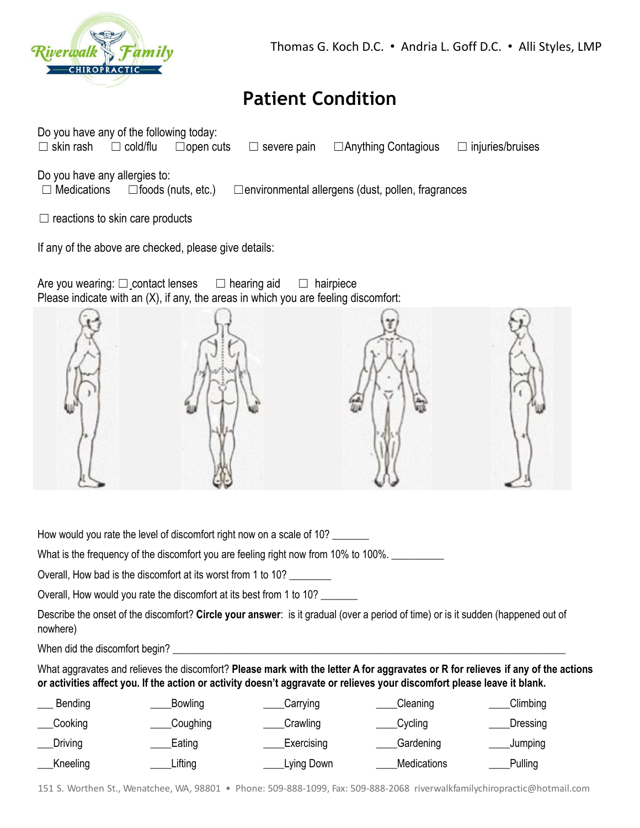

## **Patient Condition**

| Do you have any of the following today:<br>$\Box$ skin rash<br>$\Box$ cold/flu | $\Box$ open cuts<br>severe pain<br>$\Box$                                                                           | □ Anything Contagious | $\Box$ injuries/bruises |
|--------------------------------------------------------------------------------|---------------------------------------------------------------------------------------------------------------------|-----------------------|-------------------------|
| Do you have any allergies to:<br>Medications                                   | $\Box$ foods (nuts, etc.) $\Box$ environmental allergens (dust, pollen, fragrances                                  |                       |                         |
| $\Box$ reactions to skin care products                                         |                                                                                                                     |                       |                         |
| If any of the above are checked, please give details:                          |                                                                                                                     |                       |                         |
| Are you wearing: $\square$ contact lenses                                      | $\Box$ hearing aid<br>$\Box$<br>Please indicate with an (X), if any, the areas in which you are feeling discomfort: | hairpiece             |                         |
|                                                                                |                                                                                                                     |                       |                         |
|                                                                                |                                                                                                                     |                       |                         |
|                                                                                |                                                                                                                     |                       |                         |
|                                                                                |                                                                                                                     |                       |                         |
|                                                                                |                                                                                                                     |                       |                         |
|                                                                                |                                                                                                                     |                       |                         |
|                                                                                |                                                                                                                     |                       |                         |
|                                                                                |                                                                                                                     |                       |                         |

How would you rate the level of discomfort right now on a scale of 10?

What is the frequency of the discomfort you are feeling right now from 10% to 100%.

Overall, How bad is the discomfort at its worst from 1 to 10? \_\_\_\_\_\_\_\_

Overall, How would you rate the discomfort at its best from 1 to 10?

Describe the onset of the discomfort? **Circle your answer**: is it gradual (over a period of time) or is it sudden (happened out of nowhere)

When did the discomfort begin? \_\_\_\_\_\_\_\_\_\_\_\_\_\_\_\_\_\_\_\_\_\_\_\_\_\_\_\_\_\_\_\_\_\_\_\_\_\_\_\_\_\_\_\_\_\_\_\_\_\_\_\_\_\_\_\_\_\_\_\_\_\_\_\_\_\_\_\_\_\_\_\_\_\_\_

What aggravates and relieves the discomfort? Please mark with the letter A for aggravates or R for relieves if any of the actions or activities affect you. If the action or activity doesn't aggravate or relieves your discomfort please leave it blank.

| Bending  | Bowling  | Carrying   | Cleaning           | Climbing |
|----------|----------|------------|--------------------|----------|
| Cooking  | Coughing | Crawling   | Cycling            | Dressing |
| Driving  | Eating   | Exercising | Gardening          | Jumping  |
| Kneeling | ∟ifting  | Lying Down | <b>Medications</b> | Pulling  |

151 S. Worthen St., Wenatchee, WA, 98801 • Phone: 509-888-1099, Fax: 509-888-2068 riverwalkfamilychiropractic@hotmail.com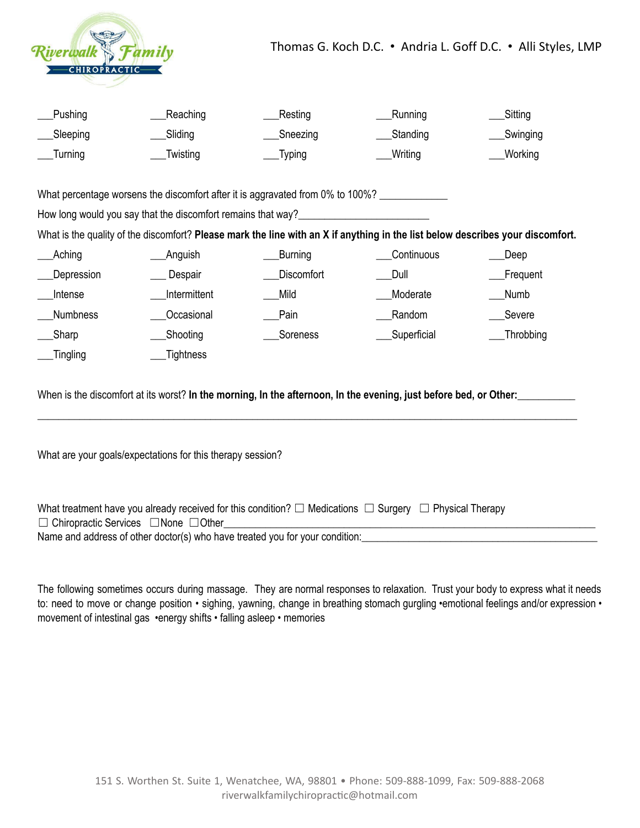

| __Pushing  | __Reaching | Resting  | __Running   | Sitting    |
|------------|------------|----------|-------------|------------|
| __Sleeping | __Sliding  | Sneezing | ___Standing | _Swinging  |
| __Turning  | Twisting   | __Typing | ___Writing  | ___Working |

What percentage worsens the discomfort after it is aggravated from 0% to 100%? \_\_\_\_\_\_\_\_\_

How long would you say that the discomfort remains that way?\_\_\_\_\_\_\_\_\_\_\_\_\_\_\_\_\_\_\_\_

What is the quality of the discomfort? Please mark the line with an X if anything in the list below describes your discomfort.

| Aching          | Anguish      | <b>Burning</b>    | Continuous  | _Deep     |
|-----------------|--------------|-------------------|-------------|-----------|
| Depression      | Despair      | <b>Discomfort</b> | Dull        | Frequent  |
| Intense         | Intermittent | Mild              | Moderate    | Numb      |
| <b>Numbness</b> | Occasional   | Pain              | Random      | Severe    |
| Sharp           | Shooting     | Soreness          | Superficial | Throbbing |
| Tingling        | Tightness    |                   |             |           |

When is the discomfort at its worst? **In the morning, In the afternoon, In the evening, just before bed, or Other:\_\_\_\_\_\_\_\_\_\_\_**

**\_\_\_\_\_\_\_\_\_\_\_\_\_\_\_\_\_\_\_\_\_\_\_\_\_\_\_\_\_\_\_\_\_\_\_\_\_\_\_\_\_\_\_\_\_\_\_\_\_\_\_\_\_\_\_\_\_\_\_\_\_\_\_\_\_\_\_\_\_\_\_\_\_\_\_\_\_\_\_\_\_\_\_\_\_\_\_\_\_\_\_\_\_\_\_\_\_\_\_\_\_\_\_**

What are your goals/expectations for this therapy session?

| What treatment have you already received for this condition? $\Box$ Medications $\Box$ Surgery $\Box$ Physical Therapy |  |
|------------------------------------------------------------------------------------------------------------------------|--|
| $\Box$ Chiropractic Services $\Box$ None $\Box$ Other                                                                  |  |
| Name and address of other doctor(s) who have treated you for your condition:                                           |  |

The following sometimes occurs during massage. They are normal responses to relaxation. Trust your body to express what it needs to: need to move or change position *•* sighing, yawning, change in breathing stomach gurgling *•*emotional feelings and/or expression • movement of intestinal gas *•*energy shifts *•* falling asleep *•* memories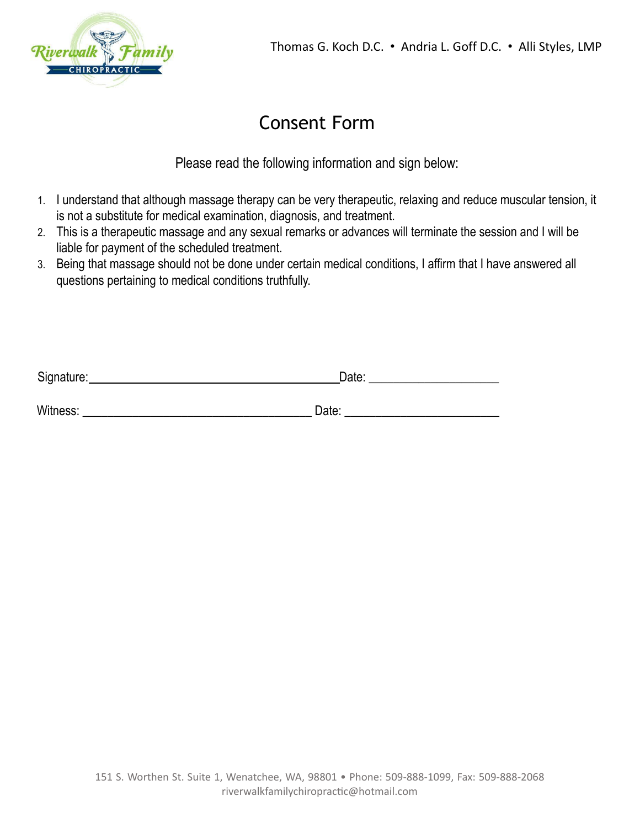

## Consent Form

Please read the following information and sign below:

- 1. I understand that although massage therapy can be very therapeutic, relaxing and reduce muscular tension, it is not a substitute for medical examination, diagnosis, and treatment.
- 2. This is a therapeutic massage and any sexual remarks or advances will terminate the session and I will be liable for payment of the scheduled treatment.
- 3. Being that massage should not be done under certain medical conditions, I affirm that I have answered all questions pertaining to medical conditions truthfully.

| Signature: | Date: |  |
|------------|-------|--|
|            |       |  |
| Witness:   | Date: |  |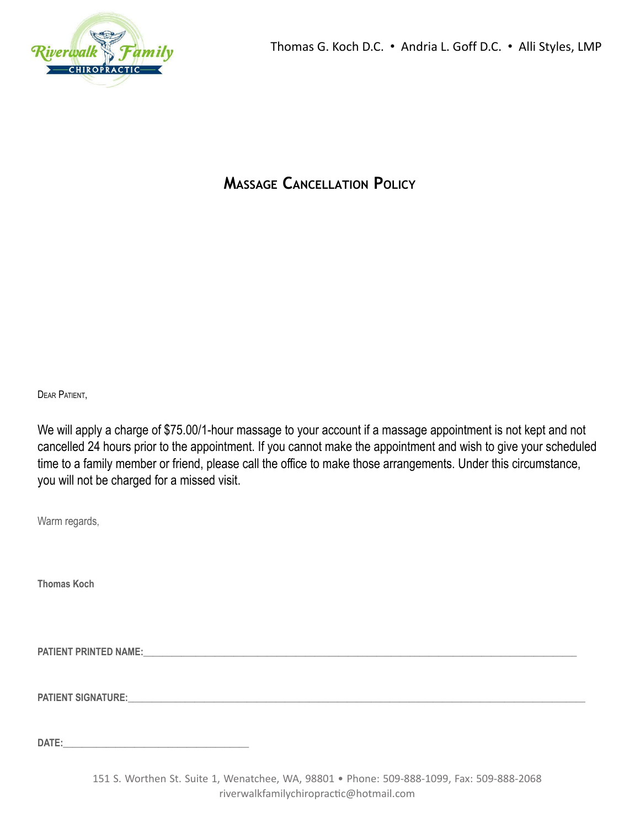

#### **MASSAGE CANCELLATION POLICY**

DEAR PATIENT,

We will apply a charge of \$75.00/1-hour massage to your account if a massage appointment is not kept and not cancelled 24 hours prior to the appointment. If you cannot make the appointment and wish to give your scheduled time to a family member or friend, please call the office to make those arrangements. Under this circumstance, you will not be charged for a missed visit.

Warm regards,

**Thomas Koch**

**PATIENT PRINTED NAME:\_\_\_\_\_\_\_\_\_\_\_\_\_\_\_\_\_\_\_\_\_\_\_\_\_\_\_\_\_\_\_\_\_\_\_\_\_\_\_\_\_\_\_\_\_\_\_\_\_\_\_\_\_\_\_\_\_\_\_\_\_\_\_\_\_\_\_\_\_\_\_\_\_\_\_\_\_\_\_\_\_\_\_\_\_\_\_\_\_\_\_**

**PATIENT SIGNATURE:** 

**DATE:**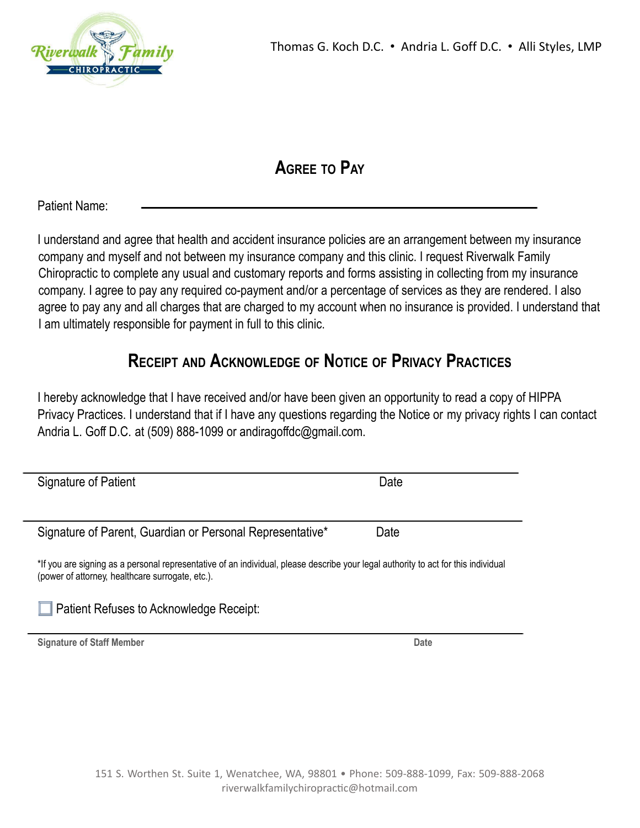

### **AGREE TO PAY**

Patient Name:

I understand and agree that health and accident insurance policies are an arrangement between my insurance company and myself and not between my insurance company and this clinic. I request Riverwalk Family Chiropractic to complete any usual and customary reports and forms assisting in collecting from my insurance company. I agree to pay any required co-payment and/or a percentage of services as they are rendered. I also agree to pay any and all charges that are charged to my account when no insurance is provided. I understand that I am ultimately responsible for payment in full to this clinic.

### **RECEIPT AND ACKNOWLEDGE OF NOTICE OF PRIVACY PRACTICES**

I hereby acknowledge that I have received and/or have been given an opportunity to read a copy of HIPPA Privacy Practices. I understand that if I have any questions regarding the Notice or my privacy rights I can contact Andria L. Goff D.C. at (509) 888-1099 or andiragoffdc@gmail.com.

| Signature of Patient                                                                                                               | Date |
|------------------------------------------------------------------------------------------------------------------------------------|------|
|                                                                                                                                    |      |
|                                                                                                                                    |      |
|                                                                                                                                    |      |
| Signature of Parent, Guardian or Personal Representative*                                                                          | Date |
|                                                                                                                                    |      |
| *If you are signing as a personal representative of an individual, please describe your legal authority to act for this individual |      |
| (power of attorney, healthcare surrogate, etc.).                                                                                   |      |
|                                                                                                                                    |      |
|                                                                                                                                    |      |
| Patient Refuses to Acknowledge Receipt:                                                                                            |      |
|                                                                                                                                    |      |
| <b>Signature of Staff Member</b>                                                                                                   | Date |